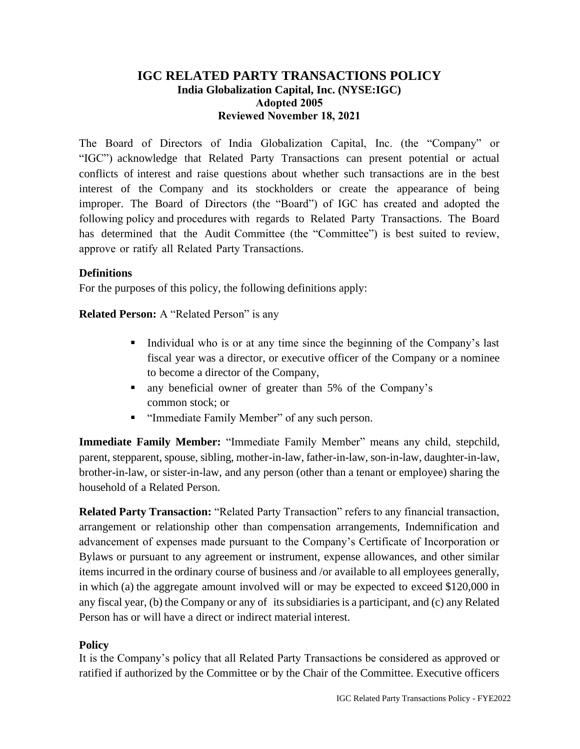# **IGC RELATED PARTY TRANSACTIONS POLICY India Globalization Capital, Inc. (NYSE:IGC) Adopted 2005 Reviewed November 18, 2021**

The Board of Directors of India Globalization Capital, Inc. (the "Company" or "IGC") acknowledge that Related Party Transactions can present potential or actual conflicts of interest and raise questions about whether such transactions are in the best interest of the Company and its stockholders or create the appearance of being improper. The Board of Directors (the "Board") of IGC has created and adopted the following policy and procedures with regards to Related Party Transactions. The Board has determined that the Audit Committee (the "Committee") is best suited to review, approve or ratify all Related Party Transactions.

## **Definitions**

For the purposes of this policy, the following definitions apply:

**Related Person:** A "Related Person" is any

- Individual who is or at any time since the beginning of the Company's last fiscal year was a director, or executive officer of the Company or a nominee to become a director of the Company,
- any beneficial owner of greater than 5% of the Company's common stock; or
- "Immediate Family Member" of any such person.

**Immediate Family Member:** "Immediate Family Member" means any child, stepchild, parent, stepparent, spouse, sibling, mother-in-law, father-in-law, son-in-law, daughter-in-law, brother-in-law, or sister-in-law, and any person (other than a tenant or employee) sharing the household of a Related Person.

**Related Party Transaction:** "Related Party Transaction" refers to any financial transaction, arrangement or relationship other than compensation arrangements, Indemnification and advancement of expenses made pursuant to the Company's Certificate of Incorporation or Bylaws or pursuant to any agreement or instrument, expense allowances, and other similar items incurred in the ordinary course of business and /or available to all employees generally, in which (a) the aggregate amount involved will or may be expected to exceed \$120,000 in any fiscal year, (b) the Company or any of its subsidiaries is a participant, and (c) any Related Person has or will have a direct or indirect material interest.

## **Policy**

It is the Company's policy that all Related Party Transactions be considered as approved or ratified if authorized by the Committee or by the Chair of the Committee. Executive officers